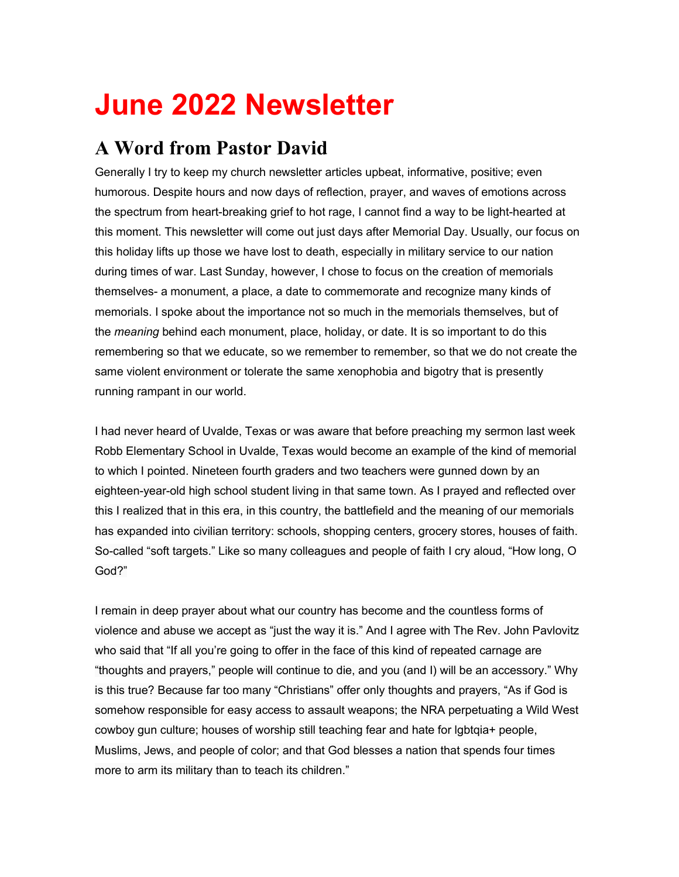# **June 2022 Newsletter**

# **A Word from Pastor David**

Generally I try to keep my church newsletter articles upbeat, informative, positive; even humorous. Despite hours and now days of reflection, prayer, and waves of emotions across the spectrum from heart-breaking grief to hot rage, I cannot find a way to be light-hearted at this moment. This newsletter will come out just days after Memorial Day. Usually, our focus on this holiday lifts up those we have lost to death, especially in military service to our nation during times of war. Last Sunday, however, I chose to focus on the creation of memorials themselves- a monument, a place, a date to commemorate and recognize many kinds of memorials. I spoke about the importance not so much in the memorials themselves, but of the *meaning* behind each monument, place, holiday, or date. It is so important to do this remembering so that we educate, so we remember to remember, so that we do not create the same violent environment or tolerate the same xenophobia and bigotry that is presently running rampant in our world.

I had never heard of Uvalde, Texas or was aware that before preaching my sermon last week Robb Elementary School in Uvalde, Texas would become an example of the kind of memorial to which I pointed. Nineteen fourth graders and two teachers were gunned down by an eighteen-year-old high school student living in that same town. As I prayed and reflected over this I realized that in this era, in this country, the battlefield and the meaning of our memorials has expanded into civilian territory: schools, shopping centers, grocery stores, houses of faith. So-called "soft targets." Like so many colleagues and people of faith I cry aloud, "How long, O God?"

I remain in deep prayer about what our country has become and the countless forms of violence and abuse we accept as "just the way it is." And I agree with The Rev. John Pavlovitz who said that "If all you're going to offer in the face of this kind of repeated carnage are "thoughts and prayers," people will continue to die, and you (and I) will be an accessory." Why is this true? Because far too many "Christians" offer only thoughts and prayers, "As if God is somehow responsible for easy access to assault weapons; the NRA perpetuating a Wild West cowboy gun culture; houses of worship still teaching fear and hate for lgbtqia+ people, Muslims, Jews, and people of color; and that God blesses a nation that spends four times more to arm its military than to teach its children."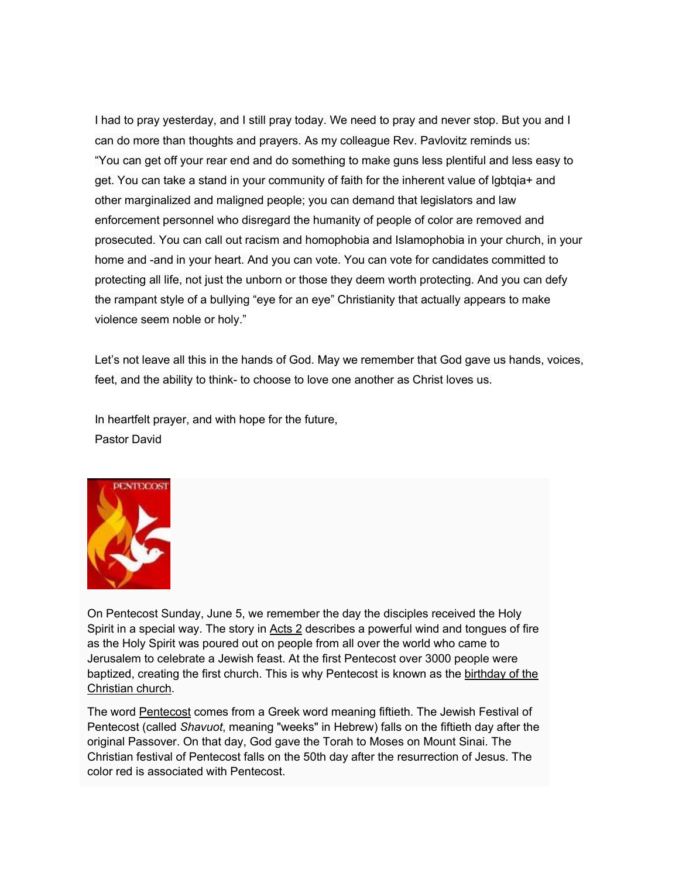I had to pray yesterday, and I still pray today. We need to pray and never stop. But you and I can do more than thoughts and prayers. As my colleague Rev. Pavlovitz reminds us: "You can get off your rear end and do something to make guns less plentiful and less easy to get. You can take a stand in your community of faith for the inherent value of lgbtqia+ and other marginalized and maligned people; you can demand that legislators and law enforcement personnel who disregard the humanity of people of color are removed and prosecuted. You can call out racism and homophobia and Islamophobia in your church, in your home and -and in your heart. And you can vote. You can vote for candidates committed to protecting all life, not just the unborn or those they deem worth protecting. And you can defy the rampant style of a bullying "eye for an eye" Christianity that actually appears to make violence seem noble or holy."

Let's not leave all this in the hands of God. May we remember that God gave us hands, voices, feet, and the ability to think- to choose to love one another as Christ loves us.

In heartfelt prayer, and with hope for the future, Pastor David



On Pentecost Sunday, June 5, we remember the day the disciples received the Holy Spirit in a special way. The story in [Acts 2](https://rcpumc.us13.list-manage.com/track/click?u=bc52d1bb98c00a924eeecd98a&id=b1f30ee526&e=d8422739af) describes a powerful wind and tongues of fire as the Holy Spirit was poured out on people from all over the world who came to Jerusalem to celebrate a Jewish feast. At the first Pentecost over 3000 people were baptized, creating the first church. This is why Pentecost is known as the [birthday of the](https://rcpumc.us13.list-manage.com/track/click?u=bc52d1bb98c00a924eeecd98a&id=3528804da6&e=d8422739af)  [Christian church.](https://rcpumc.us13.list-manage.com/track/click?u=bc52d1bb98c00a924eeecd98a&id=3528804da6&e=d8422739af)

The word [Pentecost](https://rcpumc.us13.list-manage.com/track/click?u=bc52d1bb98c00a924eeecd98a&id=b029af2caf&e=d8422739af) comes from a Greek word meaning fiftieth. The Jewish Festival of Pentecost (called *Shavuot*, meaning "weeks" in Hebrew) falls on the fiftieth day after the original Passover. On that day, God gave the Torah to Moses on Mount Sinai. The Christian festival of Pentecost falls on the 50th day after the resurrection of Jesus. The color red is associated with Pentecost.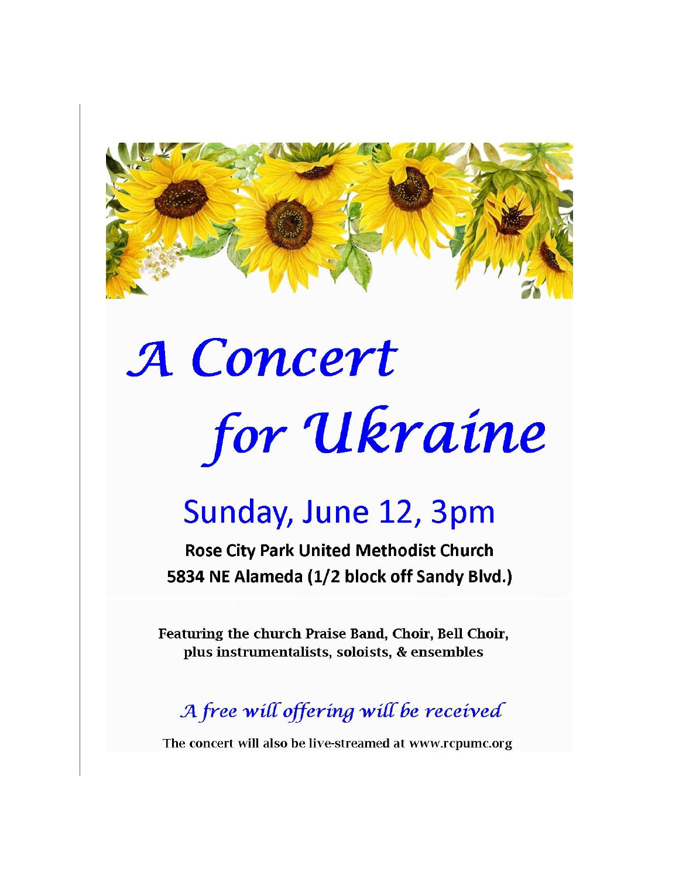

# A Concert for Ukraine

# Sunday, June 12, 3pm

**Rose City Park United Methodist Church** 5834 NE Alameda (1/2 block off Sandy Blvd.)

Featuring the church Praise Band, Choir, Bell Choir, plus instrumentalists, soloists, & ensembles

A free will offering will be received

The concert will also be live-streamed at www.rcpumc.org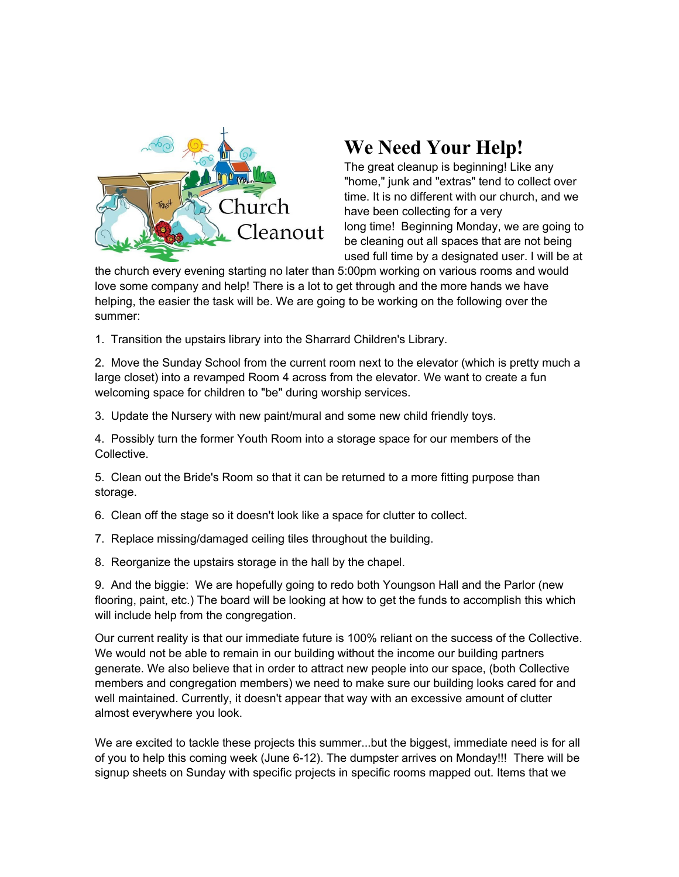

# **We Need Your Help!**

The great cleanup is beginning! Like any "home," junk and "extras" tend to collect over time. It is no different with our church, and we have been collecting for a very long time! Beginning Monday, we are going to be cleaning out all spaces that are not being used full time by a designated user. I will be at

the church every evening starting no later than 5:00pm working on various rooms and would love some company and help! There is a lot to get through and the more hands we have helping, the easier the task will be. We are going to be working on the following over the summer:

1. Transition the upstairs library into the Sharrard Children's Library.

2. Move the Sunday School from the current room next to the elevator (which is pretty much a large closet) into a revamped Room 4 across from the elevator. We want to create a fun welcoming space for children to "be" during worship services.

3. Update the Nursery with new paint/mural and some new child friendly toys.

4. Possibly turn the former Youth Room into a storage space for our members of the Collective.

5. Clean out the Bride's Room so that it can be returned to a more fitting purpose than storage.

- 6. Clean off the stage so it doesn't look like a space for clutter to collect.
- 7. Replace missing/damaged ceiling tiles throughout the building.
- 8. Reorganize the upstairs storage in the hall by the chapel.

9. And the biggie: We are hopefully going to redo both Youngson Hall and the Parlor (new flooring, paint, etc.) The board will be looking at how to get the funds to accomplish this which will include help from the congregation.

Our current reality is that our immediate future is 100% reliant on the success of the Collective. We would not be able to remain in our building without the income our building partners generate. We also believe that in order to attract new people into our space, (both Collective members and congregation members) we need to make sure our building looks cared for and well maintained. Currently, it doesn't appear that way with an excessive amount of clutter almost everywhere you look.

We are excited to tackle these projects this summer...but the biggest, immediate need is for all of you to help this coming week (June 6-12). The dumpster arrives on Monday!!! There will be signup sheets on Sunday with specific projects in specific rooms mapped out. Items that we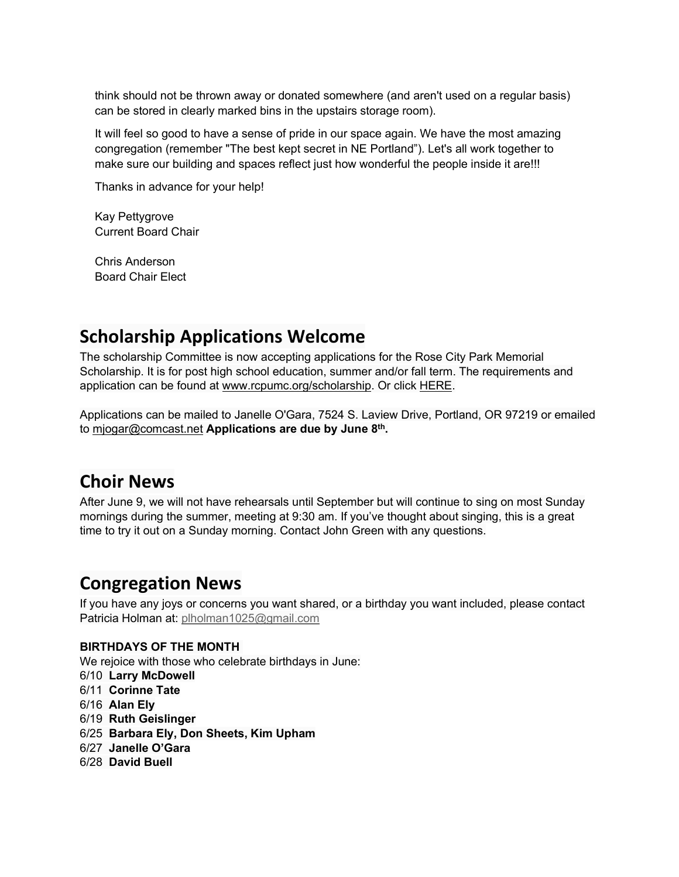think should not be thrown away or donated somewhere (and aren't used on a regular basis) can be stored in clearly marked bins in the upstairs storage room).

It will feel so good to have a sense of pride in our space again. We have the most amazing congregation (remember "The best kept secret in NE Portland"). Let's all work together to make sure our building and spaces reflect just how wonderful the people inside it are!!!

Thanks in advance for your help!

Kay Pettygrove Current Board Chair

Chris Anderson Board Chair Elect

# **Scholarship Applications Welcome**

The scholarship Committee is now accepting applications for the Rose City Park Memorial Scholarship. It is for post high school education, summer and/or fall term. The requirements and application can be found at [www.rcpumc.org/scholarship.](https://rcpumc.us13.list-manage.com/track/click?u=bc52d1bb98c00a924eeecd98a&id=833d7c50fe&e=d8422739af) Or click [HERE.](https://rcpumc.us13.list-manage.com/track/click?u=bc52d1bb98c00a924eeecd98a&id=30c8153709&e=d8422739af)

Applications can be mailed to Janelle O'Gara, 7524 S. Laview Drive, Portland, OR 97219 or emailed to [mjogar@comcast.net](mailto:mjogar@comcast.net) **Applications are due by June 8th.** 

## **Choir News**

After June 9, we will not have rehearsals until September but will continue to sing on most Sunday mornings during the summer, meeting at 9:30 am. If you've thought about singing, this is a great time to try it out on a Sunday morning. Contact John Green with any questions.

## **Congregation News**

If you have any joys or concerns you want shared, or a birthday you want included, please contact Patricia Holman at: [plholman1025@gmail.com](mailto:plholman1025@gmail.com)

#### **BIRTHDAYS OF THE MONTH**

We rejoice with those who celebrate birthdays in June:

- 6/10 **Larry McDowell**
- 6/11 **Corinne Tate**
- 6/16 **Alan Ely**
- 6/19 **Ruth Geislinger**
- 6/25 **Barbara Ely, Don Sheets, Kim Upham**
- 6/27 **Janelle O'Gara**
- 6/28 **David Buell**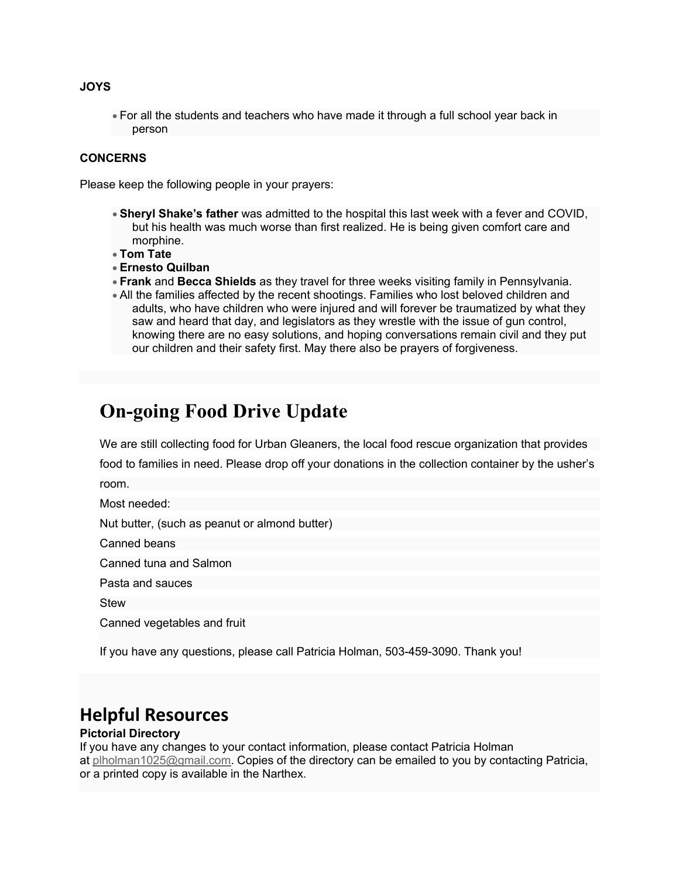#### **JOYS**

• For all the students and teachers who have made it through a full school year back in person

#### **CONCERNS**

Please keep the following people in your prayers:

- **Sheryl Shake's father** was admitted to the hospital this last week with a fever and COVID, but his health was much worse than first realized. He is being given comfort care and morphine.
- **Tom Tate**
- **Ernesto Quilban**
- **Frank** and **Becca Shields** as they travel for three weeks visiting family in Pennsylvania.
- All the families affected by the recent shootings. Families who lost beloved children and adults, who have children who were injured and will forever be traumatized by what they saw and heard that day, and legislators as they wrestle with the issue of gun control, knowing there are no easy solutions, and hoping conversations remain civil and they put our children and their safety first. May there also be prayers of forgiveness.

# **On-going Food Drive Update**

We are still collecting food for Urban Gleaners, the local food rescue organization that provides food to families in need. Please drop off your donations in the collection container by the usher's room.

Most needed:

Nut butter, (such as peanut or almond butter)

Canned beans

Canned tuna and Salmon

Pasta and sauces

**Stew** 

Canned vegetables and fruit

If you have any questions, please call Patricia Holman, 503-459-3090. Thank you!

### **Helpful Resources**

#### **Pictorial Directory**

If you have any changes to your contact information, please contact Patricia Holman at [plholman1025@gmail.com.](mailto:plholman1025@gmail.com) Copies of the directory can be emailed to you by contacting Patricia, or a printed copy is available in the Narthex.